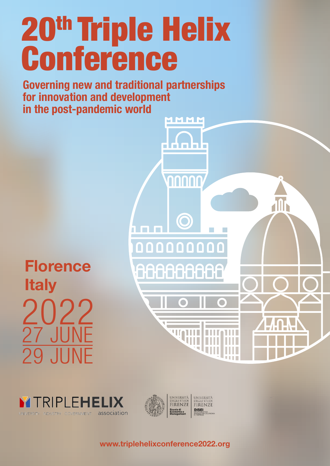**Governing new and traditional partnerships for innovation and development in the post-pandemic world**

MMMM

n I n

anno

 $\bigcirc$ 

000000000

88888888

**WATHE** 

 $\blacksquare$ 

2022 27 JUNE 29 JUNE **Florence Italy** 

TRIPLEHELI

association



www.triplehelixconference2022.org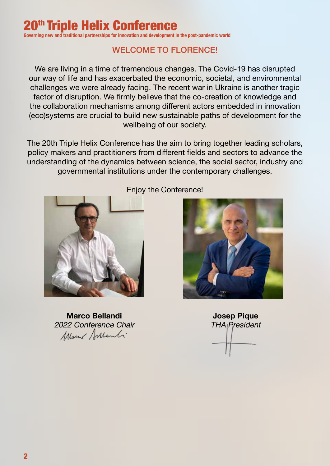**Governing new and traditional partnerships for innovation and development in the post-pandemic world**

# WELCOME TO FLORENCE!

We are living in a time of tremendous changes. The Covid-19 has disrupted our way of life and has exacerbated the economic, societal, and environmental challenges we were already facing. The recent war in Ukraine is another tragic factor of disruption. We firmly believe that the co-creation of knowledge and the collaboration mechanisms among different actors embedded in innovation (eco)systems are crucial to build new sustainable paths of development for the wellbeing of our society.

The 20th Triple Helix Conference has the aim to bring together leading scholars, policy makers and practitioners from different fields and sectors to advance the understanding of the dynamics between science, the social sector, industry and governmental institutions under the contemporary challenges.



Marco Bellandi 2022 Conference Chair Mont Sulanti

## Enjoy the Conference!



Josep Pique **THA President**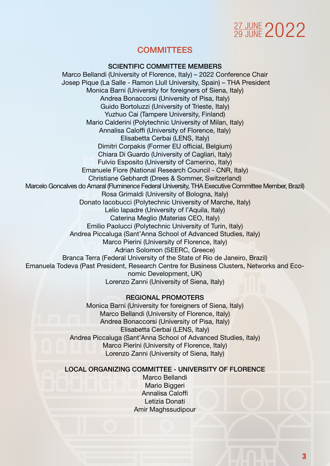# 27 JUNE 2022

# **COMMITTEES**

#### SCIENTIFIC COMMITTEE MEMBERS

Marco Bellandi (University of Florence, Italy) – 2022 Conference Chair Josep Pique (La Salle - Ramon Llull University, Spain) – THA President Monica Barni (University for foreigners of Siena, Italy) Andrea Bonaccorsi (University of Pisa, Italy) Guido Bortoluzzi (University of Trieste, Italy) Yuzhuo Cai (Tampere University, Finland) Mario Calderini (Polytechnic University of Milan, Italy) Annalisa Caloffi (University of Florence, Italy) Elisabetta Cerbai (LENS, Italy) Dimitri Corpakis (Former EU official, Belgium) Chiara Di Guardo (University of Cagliari, Italy) Fulvio Esposito (University of Camerino, Italy) Emanuele Fiore (National Research Council - CNR, Italy) Christiane Gebhardt (Drees & Sommer, Switzerland) Marcelo Goncalves do Amaral (Fluminence Federal University, THA Executive Committee Member, Brazil) Rosa Grimaldi (University of Bologna, Italy) Donato Iacobucci (Polytechnic University of Marche, Italy) Lelio Iapadre (University of l'Aquila, Italy) Caterina Meglio (Materias CEO, Italy) Emilio Paolucci (Polytechnic University of Turin, Italy) Andrea Piccaluga (Sant'Anna School of Advanced Studies, Italy) Marco Pierini (University of Florence, Italy) Adrian Solomon (SEERC, Greece) Branca Terra (Federal University of the State of Rio de Janeiro, Brazil) Emanuela Todeva (Past President, Research Centre for Business Clusters, Networks and Economic Development, UK) Lorenzo Zanni (University of Siena, Italy)

> REGIONAL PROMOTERS Monica Barni (University for foreigners of Siena, Italy) Marco Bellandi (University of Florence, Italy) Andrea Bonaccorsi (University of Pisa, Italy) Elisabetta Cerbai (LENS, Italy) Andrea Piccaluga (Sant'Anna School of Advanced Studies, Italy) Marco Pierini (University of Florence, Italy) Lorenzo Zanni (University of Siena, Italy)

LOCAL ORGANIZING COMMITTEE - UNIVERSITY OF FLORENCE

Marco Bellandi Mario Biggeri Annalisa Caloffi Letizia Donati Amir Maghssudipour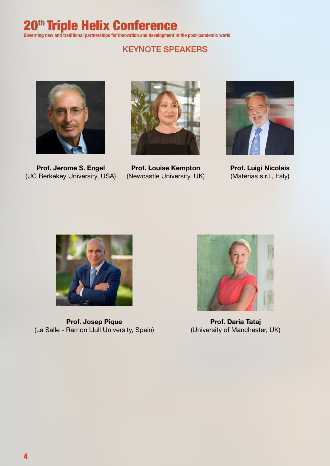# 20<sup>th</sup> Triple Helix Conference

**Governing new and traditional partnerships for innovation and development in the post-pandemic world**

# KEYNOTE SPEAKERS



Prof. Jerome S. Engel (UC Berkekey University, USA)



Prof. Louise Kempton (Newcastle University, UK)



Prof. Luigi Nicolais (Materias s.r.l., Italy)



Prof. Josep Pique (La Salle - Ramon Llull University, Spain)



Prof. Daria Tataj (University of Manchester, UK)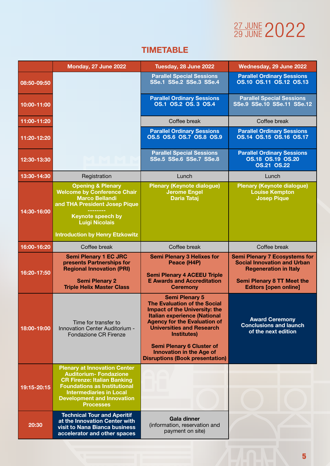# 27 JUNE 2022

# TIMETABLE

|             | Monday, 27 June 2022                                                                                                                                                                                                                         | Tuesday, 28 June 2022                                                                                                                                                                                                                                                                                                                                  | Wednesday, 29 June 2022                                                                                                                                                         |
|-------------|----------------------------------------------------------------------------------------------------------------------------------------------------------------------------------------------------------------------------------------------|--------------------------------------------------------------------------------------------------------------------------------------------------------------------------------------------------------------------------------------------------------------------------------------------------------------------------------------------------------|---------------------------------------------------------------------------------------------------------------------------------------------------------------------------------|
| 08:50-09:50 |                                                                                                                                                                                                                                              | <b>Parallel Special Sessions</b><br><b>SSe.1 SSe.2 SSe.3 SSe.4</b>                                                                                                                                                                                                                                                                                     | <b>Parallel Ordinary Sessions</b><br><b>0S.10 0S.11 0S.12 0S.13</b>                                                                                                             |
| 10:00-11:00 |                                                                                                                                                                                                                                              | <b>Parallel Ordinary Sessions</b><br>OS.1 OS.2 OS.3 OS.4                                                                                                                                                                                                                                                                                               | <b>Parallel Special Sessions</b><br>SSe.9 SSe.10 SSe.11 SSe.12                                                                                                                  |
| 11:00-11:20 |                                                                                                                                                                                                                                              | Coffee break                                                                                                                                                                                                                                                                                                                                           | Coffee break                                                                                                                                                                    |
| 11:20-12:20 |                                                                                                                                                                                                                                              | <b>Parallel Ordinary Sessions</b><br>OS.5 OS.6 OS.7 OS.8 OS.9                                                                                                                                                                                                                                                                                          | <b>Parallel Ordinary Sessions</b><br>OS.14 OS.15 OS.16 OS.17                                                                                                                    |
| 12:30-13:30 |                                                                                                                                                                                                                                              | <b>Parallel Special Sessions</b><br><b>SSe.5 SSe.6 SSe.7 SSe.8</b>                                                                                                                                                                                                                                                                                     | <b>Parallel Ordinary Sessions</b><br><b>OS.18 OS.19 OS.20</b><br><b>OS.21 OS.22</b>                                                                                             |
| 13:30-14:30 | Registration                                                                                                                                                                                                                                 | Lunch                                                                                                                                                                                                                                                                                                                                                  | Lunch                                                                                                                                                                           |
| 14:30-16:00 | <b>Opening &amp; Plenary</b><br><b>Welcome by Conference Chair</b><br><b>Marco Bellandi</b><br>and THA President Josep Pique<br><b>Keynote speech by</b><br><b>Luigi Nicolais</b><br><b>Introduction by Henry Etzkowitz</b>                  | <b>Plenary (Keynote dialogue)</b><br><b>Jerome Engel</b><br><b>Daria Tataj</b>                                                                                                                                                                                                                                                                         | <b>Plenary (Keynote dialogue)</b><br><b>Louise Kempton</b><br><b>Josep Pique</b>                                                                                                |
| 16:00-16:20 | Coffee break                                                                                                                                                                                                                                 | Coffee break                                                                                                                                                                                                                                                                                                                                           | Coffee break                                                                                                                                                                    |
| 16:20-17:50 | <b>Semi Plenary 1 EC JRC</b><br>presents Partnerships for<br><b>Regional Innovation (PRI)</b><br><b>Semi Plenary 2</b><br><b>Triple Helix Master Class</b>                                                                                   | <b>Semi Plenary 3 Helixes for</b><br>Peace (H4P)<br><b>Semi Plenary 4 ACEEU Triple</b><br><b>E Awards and Accreditation</b><br><b>Ceremony</b>                                                                                                                                                                                                         | <b>Semi Plenary 7 Ecosystems for</b><br><b>Social Innovation and Urban</b><br><b>Regeneration in Italy</b><br><b>Semi Plenary 8 TT Meet the</b><br><b>Editors [open online]</b> |
| 18:00-19:00 | Time for transfer to<br>Innovation Center Auditorium -<br><b>Fondazione CR Firenze</b>                                                                                                                                                       | <b>Semi Plenary 5</b><br><b>The Evaluation of the Social</b><br><b>Impact of the University: the</b><br><b>Italian experience (National</b><br><b>Agency for the Evaluation of</b><br><b>Universities and Research</b><br>Institutes)<br><b>Semi Plenary 6 Cluster of</b><br><b>Innovation in the Age of</b><br><b>Disruptions (Book presentation)</b> | <b>Award Ceremony</b><br><b>Conclusions and launch</b><br>of the next edition                                                                                                   |
| 19:15-20:15 | <b>Plenary at Innovation Center</b><br><b>Auditorium- Fondazione</b><br><b>CR Firenze: Italian Banking</b><br><b>Foundations as Institutional</b><br><b>Intermediaries in Local</b><br><b>Development and Innovation</b><br><b>Processes</b> |                                                                                                                                                                                                                                                                                                                                                        |                                                                                                                                                                                 |
| 20:30       | <b>Technical Tour and Aperitif</b><br>at the Innovation Center with<br>visit to Nana Bianca business<br>accelerator and other spaces                                                                                                         | <b>Gala dinner</b><br>(information, reservation and<br>payment on site)                                                                                                                                                                                                                                                                                |                                                                                                                                                                                 |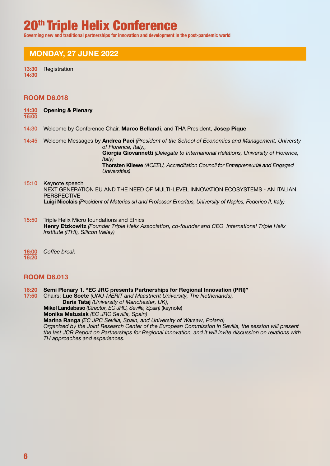**Governing new and traditional partnerships for innovation and development in the post-pandemic world**

## MONDAY, 27 JUNE 2022

13:30 Registration 14:30

#### ROOM D6.018

14:30 Opening & Plenary

#### 16:00

- 14:30 Welcome by Conference Chair, Marco Bellandi, and THA President, Josep Pique
- 14:45 Welcome Messages by Andrea Paci *(President of the School of Economics and Management, Universty of Florence, Italy),* Giorgia Giovannetti *(Delegate to International Relations, University of Florence, Italy)* Thorsten Kliewe *(ACEEU, Accreditation Council for Entrepreneurial and Engaged Universities)*

#### 15:10 Keynote speech NEXT GENERATION EU AND THE NEED OF MULTI-LEVEL INNOVATION ECOSYSTEMS - AN ITALIAN **PERSPECTIVE** Luigi Nicolais *(President of Materias srl and Professor Emeritus, University of Naples, Federico II, Italy)*

- 15:50 Triple Helix Micro foundations and Ethics Henry Etzkowitz *(Founder Triple Helix Association, co-founder and CEO International Triple Helix Institute (ITHI), Silicon Valley)*
- 16:00 *Coffee break*  16:20

#### ROOM D6.013

16:20 Semi Plenary 1. "EC JRC presents Partnerships for Regional Innovation (PRI)"

17:50 Chairs: Luc Soete *(UNU-MERIT and Maastricht University, The Netherlands),* Daria Tataj *(University of Manchester, UK)*, Mikel Landabaso *(Director, EC JRC, Sevilla, Spain)* (keynote) Monika Matusiak *(EC JRC Sevilla, Spain)* Marina Ranga *(EC JRC Sevilla, Spain, and University of Warsaw, Poland)*

 *Organized by the Joint Research Center of the European Commission in Sevilla, the session will present the last JCR Report on Partnerships for Regional Innovation, and it will invite discussion on relations with TH approaches and experiences.*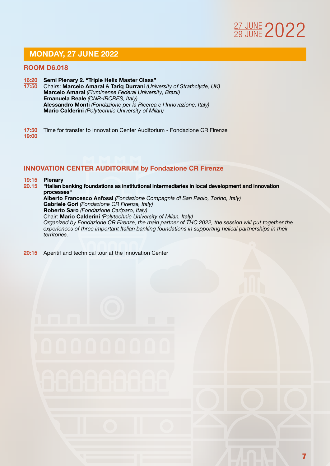# MONDAY, 27 JUNE 2022

#### ROOM D6.018

- 16:20 Semi Plenary 2. "Triple Helix Master Class" 17:50 Chairs: Marcelo Amaral & Tariq Durrani *(University of Strathclyde, UK)*  Marcelo Amaral *(Fluminense Federal University, Brazil)* Emanuela Reale *(CNR-IRCRES, Italy)* Alessandro Monti *(Fondazione per la Ricerca e l'Innovazione, Italy)* Mario Calderini *(Polytechnic University of Milan)*
- 17:50 Time for transfer to Innovation Center Auditorium Fondazione CR Firenze 19:00

#### INNOVATION CENTER AUDITORIUM by Fondazione CR Firenze

# $\frac{19:15}{20.15}$  Plenary

- "Italian banking foundations as institutional intermediaries in local development and innovation processes" Alberto Francesco Anfossi *(Fondazione Compagnia di San Paolo, Torino, Italy)* Gabriele Gori *(Fondazione CR Firenze, Italy)* Roberto Saro *(Fondazione Cariparo, Italy)* Chair: Mario Calderini *(Polytechnic University of Milan, Italy) Organized by Fondazione CR Firenze, the main partner of THC 2022, the session will put together the experiences of three important Italian banking foundations in supporting helical partnerships in their territories.*
- 20:15 Aperitif and technical tour at the Innovation Center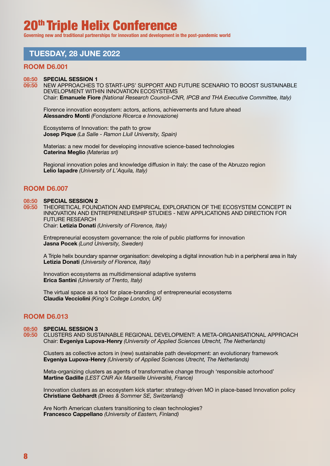**Governing new and traditional partnerships for innovation and development in the post-pandemic world**

## TUESDAY, 28 JUNE 2022

#### ROOM D6.001

#### 08:50 SPECIAL SESSION 1

09:50 NEW APPROACHES TO START-UPS' SUPPORT AND FUTURE SCENARIO TO BOOST SUSTAINABLE DEVELOPMENT WITHIN INNOVATION ECOSYSTEMS Chair: Emanuele Fiore *(National Research Council–CNR, IPCB and THA Executive Committee, Italy)*

Florence innovation ecosystem: actors, actions, achievements and future ahead Alessandro Monti *(Fondazione Ricerca e Innovazione)*

Ecosystems of Innovation: the path to grow Josep Pique *(La Salle - Ramon Llull University, Spain)*

Materias: a new model for developing innovative science-based technologies Caterina Meglio *(Materias srl)*

Regional innovation poles and knowledge diffusion in Italy: the case of the Abruzzo region Lelio Iapadre *(University of L'Aquila, Italy)*

#### ROOM D6.007

#### 08:50 SPECIAL SESSION 2

09:50 THEORETICAL FOUNDATION AND EMPIRICAL EXPLORATION OF THE ECOSYSTEM CONCEPT IN INNOVATION AND ENTREPRENEURSHIP STUDIES - NEW APPLICATIONS AND DIRECTION FOR FUTURE RESEARCH Chair: Letizia Donati *(University of Florence, Italy)*

Entrepreneurial ecosystem governance: the role of public platforms for innovation Jasna Pocek *(Lund University, Sweden)*

 A Triple helix boundary spanner organisation: developing a digital innovation hub in a peripheral area in Italy Letizia Donati *(University of Florence, Italy)*

Innovation ecosystems as multidimensional adaptive systems Erica Santini *(University of Trento, Italy)*

The virtual space as a tool for place-branding of entrepreneurial ecosystems Claudia Vecciolini *(King's College London, UK)*

#### ROOM D6.013

#### 08:50 SPECIAL SESSION 3

09:50 CLUSTERS AND SUSTAINABLE REGIONAL DEVELOPMENT: A META-ORGANISATIONAL APPROACH Chair: Evgeniya Lupova-Henry *(University of Applied Sciences Utrecht, The Netherlands)*

 Clusters as collective actors in (new) sustainable path development: an evolutionary framework Evgeniya Lupova-Henry *(University of Applied Sciences Utrecht, The Netherlands)*

Meta-organizing clusters as agents of transformative change through 'responsible actorhood' Martine Gadille *(LEST CNR Aix Marseille Université, France)*

Innovation clusters as an ecosystem kick starter: strategy-driven MO in place-based Innovation policy Christiane Gebhardt *(Drees & Sommer SE, Switzerland)*

Are North American clusters transitioning to clean technologies? Francesco Cappellano *(University of Eastern, Finland)*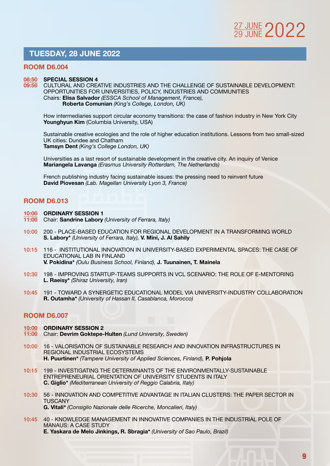## TUESDAY, 28 JUNE 2022

#### ROOM D6.004

#### 08:50 SPECIAL SESSION 4

09:50 CULTURAL AND CREATIVE INDUSTRIES AND THE CHALLENGE OF SUSTAINABLE DEVELOPMENT: OPPORTUNITIES FOR UNIVERSITIES, POLICY, INDUSTRIES AND COMMUNITIES Chairs: Elisa Salvador *(ESSCA School of Management, France),* Roberta Comunian *(King's College, London, UK)*

How intermediaries support circular economy transitions: the case of fashion industry in New York City Younghyun Kim (Columbia University, USA)

 Sustainable creative ecologies and the role of higher education institutions. Lessons from two small-sized UK cities: Dundee and Chatham Tamsyn Dent *(King's College London, UK)*

 Universities as a last resort of sustainable development in the creative city. An inquiry of Venice Mariangela Lavanga *(Erasmus University Rotterdam, The Netherlands)*

French publishing industry facing sustainable issues: the pressing need to reinvent future David Piovesan *(Lab. Magellan University Lyon 3, France)*

#### ROOM D6.013

- 10:00 ORDINARY SESSION 1
- 11:00 Chair: Sandrine Labory *(University of Ferrara, Italy)*
- 10:00 200 PLACE-BASED EDUCATION FOR REGIONAL DEVELOPMENT IN A TRANSFORMING WORLD S. Labory\* *(University of Ferrara, Italy),* V. Mini, J. Al Sahily
- 10:15 116 INSTITUTIONAL INNOVATION IN UNIVERSITY-BASED EXPERIMENTAL SPACES: THE CASE OF EDUCATIONAL LAB IN FINLAND V. Pokidina\* *(Oulu Business School, Finland),* J. Tuunainen, T. Mainela
- 10:30 198 IMPROVING STARTUP-TEAMS SUPPORTS IN VCL SCENARIO: THE ROLE OF E-MENTORING L. Raeisy\* *(Shiraz University, Iran)*
- 10:45 191 TOWARD A SYNERGETIC EDUCATIONAL MODEL VIA UNIVERSITY-INDUSTRY COLLABORATION R. Outamha\* *(University of Hassan II, Casablanca, Morocco)*

- 10:00 ORDINARY SESSION 2
- 11:00 Chair: Devrim Goktepe-Hulten *(Lund University, Sweden)*
- 10:00 16 VALORISATION OF SUSTAINABLE RESEARCH AND INNOVATION INFRASTRUCTURES IN REGIONAL INDUSTRIAL ECOSYSTEMS H. Puurtinen\* *(Tampere University of Applied Sciences, Finland),* P. Pohjola
- 10:15 199 INVESTIGATING THE DETERMINANTS OF THE ENVIRONMENTALLY-SUSTAINABLE ENTREPRENEURIAL ORIENTATION OF UNIVERSITY STUDENTS IN ITALY C. Giglio\* *(Mediterranean University of Reggio Calabria, Italy)*
- 10:30 56 INNOVATION AND COMPETITIVE ADVANTAGE IN ITALIAN CLUSTERS: THE PAPER SECTOR IN TUSCANY G. Vitali\* *(Consiglio Nazionale delle Ricerche, Moncalieri, Italy)*
- 10:45 40 KNOWLEDGE MANAGEMENT IN INNOVATIVE COMPANIES IN THE INDUSTRIAL POLE OF MANAUS: A CASE STUDY E. Yaskara de Melo Jinkings, R. Sbragia\* *(University of Sao Paulo, Brazil)*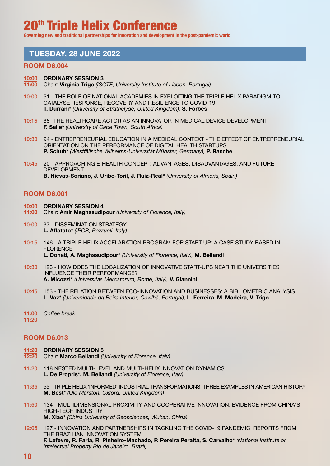**Governing new and traditional partnerships for innovation and development in the post-pandemic world**

## TUESDAY, 28 JUNE 2022

#### ROOM D6.004

I

#### 10:00 ORDINARY SESSION 3

- 11:00 Chair: Virginia Trigo *(ISCTE, University Institute of Lisbon, Portugal)*
- 10:00 51 THE ROLE OF NATIONAL ACADEMIES IN EXPLOITING THE TRIPLE HELIX PARADIGM TO CATALYSE RESPONSE, RECOVERY AND RESILIENCE TO COVID-19 T. Durrani\* *(University of Strathclyde, United Kingdom),* S. Forbes
- 10:15 85 -THE HEALTHCARE ACTOR AS AN INNOVATOR IN MEDICAL DEVICE DEVELOPMENT F. Salie\* *(University of Cape Town, South Africa)*
- 10:30 94 ENTREPRENEURIAL EDUCATION IN A MEDICAL CONTEXT THE EFFECT OF ENTREPRENEURIAL ORIENTATION ON THE PERFORMANCE OF DIGITAL HEALTH STARTUPS P. Schuh\* *(Westfälische Wilhelms-Universität Münster, Germany),* P. Rasche
- 10:45 20 APPROACHING E-HEALTH CONCEPT: ADVANTAGES, DISADVANTAGES, AND FUTURE DEVELOPMENT B. Nievas-Soriano, J. Uribe-Toril, J. Ruiz-Real\* *(University of Almeria, Spain)*

#### ROOM D6.001

- 10:00 ORDINARY SESSION 4
- 11:00 Chair: Amir Maghssudipour *(University of Florence, Italy)*
- 10:00 37 DISSEMINATION STRATEGY L. Affatato\* *(IPCB, Pozzuoli, Italy)*
- 10:15 146 A TRIPLE HELIX ACCELARATION PROGRAM FOR START-UP: A CASE STUDY BASED IN FLORENCE L. Donati, A. Maghssudipour\* *(University of Florence, Italy),* M. Bellandi
- 10:30 123 HOW DOES THE LOCALIZATION OF INNOVATIVE START-UPS NEAR THE UNIVERSITIES INFLUENCE THEIR PERFORMANCE? A. Micozzi\* *(Universitas Mercatorum, Rome, Italy),* V. Giannini
- 10:45 153 THE RELATION BETWEEN ECO-INNOVATION AND BUSINESSES: A BIBLIOMETRIC ANALYSIS L. Vaz\* *(Universidade da Beira Interior, Covilhã, Portugal),* L. Ferreira, M. Madeira, V. Trigo
- 11:00 *Coffee break*  11:20

- 11:20 ORDINARY SESSION 5
- 12:20 Chair: Marco Bellandi *(University of Florence, Italy)*
- 11:20 118 NESTED MULTI-LEVEL AND MULTI-HELIX INNOVATION DYNAMICS L. De Propris\*, M. Bellandi *(University of Florence, Italy)*
- 11:35 55 TRIPLE HELIX 'INFORMED' INDUSTRIAL TRANSFORMATIONS: THREE EXAMPLES IN AMERICAN HISTORY M. Best\* *(Old Marston, Oxford, United Kingdom)*
- 11:50 134 MULTIDIMENSIONAL PROXIMITY AND COOPERATIVE INNOVATION: EVIDENCE FROM CHINA'S HIGH-TECH INDUSTRY M. Xiao\* *(China University of Geosciences, Wuhan, China)*
- 12:05 127 INNOVATION AND PARTNERSHIPS IN TACKLING THE COVID-19 PANDEMIC: REPORTS FROM THE BRAZILIAN INNOVATION SYSTEM F. Lefevre, R. Faria, R. Pinheiro-Machado, P. Pereira Peralta, S. Carvalho\* *(National Institute or Intelectual Property Rio de Janeiro, Brazil)*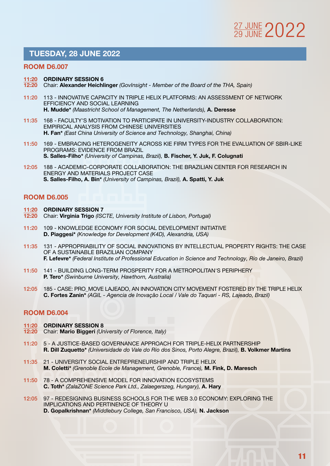# 27 JUNE 2022

## TUESDAY, 28 JUNE 2022

#### ROOM D6.007

#### 11:20 ORDINARY SESSION 6

- 12:20 Chair: Alexander Heichlinger *(GovInsight Member of the Board of the THA, Spain)*
- 11:20 113 INNOVATIVE CAPACITY IN TRIPLE HELIX PLATFORMS: AN ASSESSMENT OF NETWORK EFFICIENCY AND SOCIAL LEARNING H. Mudde\* *(Maastricht School of Management, The Netherlands),* A. Deresse
- 11:35 168 FACULTY'S MOTIVATION TO PARTICIPATE IN UNIVERSITY-INDUSTRY COLLABORATION: EMPIRICAL ANALYSIS FROM CHINESE UNIVERSITIES H. Fan\* *(East China University of Science and Technology, Shanghai, China)*
- 11:50 169 EMBRACING HETEROGENEITY ACROSS KIE FIRM TYPES FOR THE EVALUATION OF SBIR-LIKE PROGRAMS: EVIDENCE FROM BRAZIL S. Salles-Filho\* *(University of Campinas, Brazil),* B. Fischer, Y. Juk, F. Colugnati
- 12:05 188 ACADEMIC-CORPORATE COLLABORATION: THE BRAZILIAN CENTER FOR RESEARCH IN ENERGY AND MATERIALS PROJECT CASE S. Salles-Filho, A. Bin\* *(University of Campinas, Brazil),* A. Spatti, Y. Juk

#### ROOM D6.005

- 11:20 ORDINARY SESSION 7
- 12:20 Chair: Virginia Trigo *(ISCTE, University Institute of Lisbon, Portugal)*
- 11:20 109 KNOWLEDGE ECONOMY FOR SOCIAL DEVELOPMENT INITIATIVE D. Piaggesi\* *(Knowledge for Development (K4D), Alexandria, USA)*
- 11:35 131 APPROPRIABILITY OF SOCIAL INNOVATIONS BY INTELLECTUAL PROPERTY RIGHTS: THE CASE OF A SUSTAINABLE BRAZILIAN COMPANY F. Lefevre\* *(Federal Institute of Professional Education in Science and Technology, Rio de Janeiro, Brazil)*
- 11:50 141 BUILDING LONG-TERM PROSPERITY FOR A METROPOLITAN'S PERIPHERY P. Tero\* *(Swinburne University, Hawthorn, Australia)*
- 12:05 185 CASE: PRO\_MOVE LAJEADO, AN INNOVATION CITY MOVEMENT FOSTERED BY THE TRIPLE HELIX C. Fortes Zanin\* *(AGIL - Agencia de Inovação Local / Vale do Taquari - RS, Lajeado, Brazil)*

- 11:20 ORDINARY SESSION 8
- 12:20 Chair: Mario Biggeri *(University of Florence, Italy)*
- 11:20 5 A JUSTICE-BASED GOVERNANCE APPROACH FOR TRIPLE-HELIX PARTNERSHIP R. Dill Zuquetto\* *(Universidade do Vale do Rio dos Sinos, Porto Alegre, Brazil),* B. Volkmer Martins
- 11:35 21 UNIVERSITY SOCIAL ENTREPRENEURSHIP AND TRIPLE HELIX M. Coletti\* *(Grenoble Ecole de Management, Grenoble, France),* M. Fink, D. Maresch
- 11:50 78 A COMPREHENSIVE MODEL FOR INNOVATION ECOSYSTEMS C. Toth\* *(ZalaZONE Science Park Ltd., Zalaegerszeg, Hungary),* A. Hary
- 12:05 97 REDESIGNING BUSINESS SCHOOLS FOR THE WEB 3.0 ECONOMY: EXPLORING THE IMPLICATIONS AND PERTINENCE OF THEORY U D. Gopalkrishnan\* *(Middlebury College, San Francisco, USA),* N. Jackson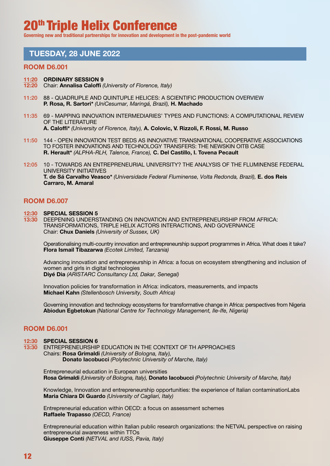**Governing new and traditional partnerships for innovation and development in the post-pandemic world**

## TUESDAY, 28 JUNE 2022

#### ROOM D6.001

#### 11:20 ORDINARY SESSION 9

- 12:20 Chair: Annalisa Caloffi *(University of Florence, Italy)*
- 11:20 88 QUADRUPLE AND QUINTUPLE HELICES: A SCIENTIFIC PRODUCTION OVERVIEW P. Rosa, R. Sartori\* *(UniCesumar, Maringá, Brazil),* H. Machado
- 11:35 69 MAPPING INNOVATION INTERMEDIARIES' TYPES AND FUNCTIONS: A COMPUTATIONAL REVIEW OF THE LITERATURE A. Caloffi\* *(University of Florence, Italy),* A. Colovic, V. Rizzoli, F. Rossi, M. Russo
- 11:50 144 OPEN INNOVATION TEST BEDS AS INNOVATIVE TRANSNATIONAL COOPERATIVE ASSOCIATIONS TO FOSTER INNOVATIONS AND TECHNOLOGY TRANSFERS: THE NEWSKIN OITB CASE R. Herault\* *(ALPHA-RLH, Talence, France),* C. Del Castillo, I. Tovena Pecault
- 12:05 10 TOWARDS AN ENTREPRENEURIAL UNIVERSITY? THE ANALYSIS OF THE FLUMINENSE FEDERAL UNIVERSITY INITIATIVES T. de Sá Carvalho Veasco\* *(Universidade Federal Fluminense, Volta Redonda, Brazil),* E. dos Reis Carraro, M. Amaral

#### ROOM D6.007

12:30 SPECIAL SESSION 5

13:30 DEEPENING UNDERSTANDING ON INNOVATION AND ENTREPRENEURSHIP FROM AFRICA: TRANSFORMATIONS, TRIPLE HELIX ACTORS INTERACTIONS, AND GOVERNANCE Chair: Chux Daniels *(University of Sussex, UK)*

Operationalising multi-country innovation and entrepreneurship support programmes in Africa. What does it take? Flora Ismail Tibazarwa *(Ecotek Limited, Tanzania)*

 Advancing innovation and entrepreneurship in Africa: a focus on ecosystem strengthening and inclusion of women and girls in digital technologies Diyé Dia *(ARISTARC Consultancy Ltd, Dakar, Senegal)*

Innovation policies for transformation in Africa: indicators, measurements, and impacts Michael Kahn *(Stellenbosch University, South Africa)*

Governing innovation and technology ecosystems for transformative change in Africa: perspectives from Nigeria Abiodun Egbetokun *(National Centre for Technology Management, Ile-Ife, Nigeria)*

#### ROOM D6.001

#### 12:30 SPECIAL SESSION 6

13:30 ENTREPRENEURSHIP EDUCATION IN THE CONTEXT OF TH APPROACHES Chairs: Rosa Grimaldi *(University of Bologna, Italy),*  Donato Iacobucci *(Polytechnic University of Marche, Italy)*

Entrepreneurial education in European universities Rosa Grimaldi *(University of Bologna, Italy),* Donato Iacobucci *(Polytechnic University of Marche, Italy)*

Knowledge, Innovation and entrepreneurship opportunities: the experience of Italian contaminationLabs Maria Chiara Di Guardo *(University of Cagliari, Italy)*

Entrepreneurial education within OECD: a focus on assessment schemes Raffaele Trapasso *(OECD, France)*

 Entrepreneurial education within Italian public research organizations: the NETVAL perspective on raising entrepreneurial awareness within TTOs Giuseppe Conti *(NETVAL and IUSS, Pavia, Italy)*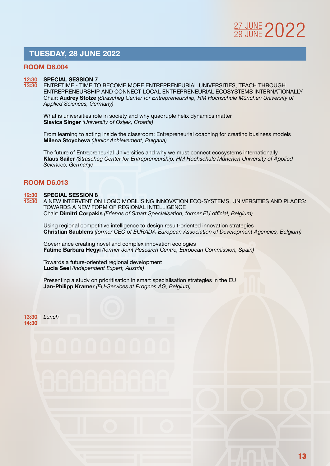## TUESDAY, 28 JUNE 2022

#### ROOM D6.004

#### 12:30 SPECIAL SESSION 7

13:30 ENTRETIME - TIME TO BECOME MORE ENTREPRENEURIAL UNIVERSITIES, TEACH THROUGH ENTREPRENEURSHIP AND CONNECT LOCAL ENTREPRENEURIAL ECOSYSTEMS INTERNATIONALLY Chair: Audrey Stolze *(Strascheg Center for Entrepreneurship, HM Hochschule München University of Applied Sciences, Germany)*

What is universities role in society and why quadruple helix dynamics matter Slavica Singer *(University of Osijek, Croatia)*

From learning to acting inside the classroom: Entrepreneurial coaching for creating business models Milena Stoycheva *(Junior Achievement, Bulgaria)*

 The future of Entrepreneurial Universities and why we must connect ecosystems internationally Klaus Sailer *(Strascheg Center for Entrepreneurship, HM Hochschule München University of Applied Sciences, Germany)*

#### ROOM D6.013

# 12:30 SPECIAL SESSION 8<br>13:30 A NEW INTERVENTIO

A NEW INTERVENTION LOGIC MOBILISING INNOVATION ECO-SYSTEMS, UNIVERSITIES AND PLACES: TOWARDS A NEW FORM OF REGIONAL INTELLIGENCE Chair: Dimitri Corpakis *(Friends of Smart Specialisation, former EU official, Belgium)*

Using regional competitive intelligence to design result-oriented innovation strategies Christian Saublens *(former CEO of EURADA-European Association of Development Agencies, Belgium)*

Governance creating novel and complex innovation ecologies Fatime Barbara Hegyi *(former Joint Research Centre, European Commission, Spain)*

Towards a future-oriented regional development Lucia Seel *(Independent Expert, Austria)*

Presenting a study on prioritisation in smart specialisation strategies in the EU Jan-Philipp Kramer *(EU-Services at Prognos AG, Belgium)*

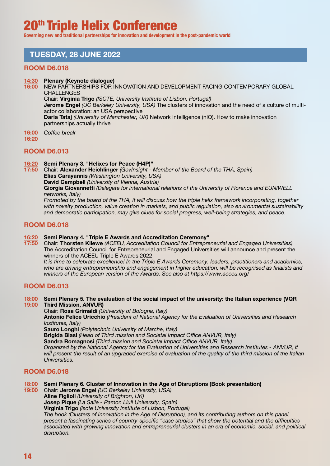**Governing new and traditional partnerships for innovation and development in the post-pandemic world**

# TUESDAY, 28 JUNE 2022

partnerships actually thrive

#### ROOM D6.018

#### 14:30 Plenary (Keynote dialogue)

16:00 NEW PARTNERSHIPS FOR INNOVATION AND DEVELOPMENT FACING CONTEMPORARY GLOBAL **CHALLENGES** Chair: Virginia Trigo *(ISCTE, University Institute of Lisbon, Portugal)*

 Jerome Engel *(UC Berkeley University, USA)* The clusters of innovation and the need of a culture of multiactor collaboration: an USA perspective Daria Tataj *(University of Manchester, UK)* Network Intelligence (nIQ). How to make innovation

16:00 *Coffee break* 

 $16:20$ 

#### ROOM D6.013

16:20 Semi Plenary 3. "Helixes for Peace (H4P)"

17:50 Chair: Alexander Heichlinger *(GovInsight - Member of the Board of the THA, Spain)* Elias Carayannis *(Washington University, USA)* David Campbell *(University of Vienna, Austria)*  Giorgia Giovannetti *(Delegate for international relations of the University of Florence and EUNIWELL networks, Italy) Promoted by the board of the THA, it will discuss how the triple helix framework incorporating, together* 

*with novelty production, value creation in markets, and public regulation, also environmental sustainability and democratic participation, may give clues for social progress, well-being strategies, and peace.*

#### ROOM D6.018

#### 16:20 Semi Plenary 4. "Triple E Awards and Accreditation Ceremony"

17:50 Chair: Thorsten Kliewe *(ACEEU, Accreditation Council for Entrepreneurial and Engaged Universities)* The Accreditation Council for Entrepreneurial and Engaged Universities will announce and present the winners of the ACEEU Triple E Awards 2022.

*It is time to celebrate excellence! In the Triple E Awards Ceremony, leaders, practitioners and academics,*  who are driving entrepreneurship and engagement in higher education, will be recognised as finalists and *winners of the European version of the Awards. See also at https://www.aceeu.org/*

#### ROOM D6.013

#### 18:00 Semi Plenary 5. The evaluation of the social impact of the university: the Italian experience (VQR 19:00 Third Mission, ANVUR)

Chair: Rosa Grimaldi *(University of Bologna, Italy)*

 Antonio Felice Uricchio *(President of National Agency for the Evaluation of Universities and Research Institutes, Italy)*

Sauro Longhi *(Polytechnic University of Marche, Italy)*

Brigida Blasi *(Head of Third mission and Societal Impact Office ANVUR, Italy)*

Sandra Romagnosi *(Third mission and Societal Impact Office ANVUR, Italy)*

*Organized by the National Agency for the Evaluation of Universities and Research Institutes - ANVUR, it will present the result of an upgraded exercise of evaluation of the quality of the third mission of the Italian Universities.*

#### ROOM D6.018

#### 18:00 Semi Plenary 6. Cluster of Innovation in the Age of Disruptions (Book presentation)

19:00 Chair: Jerome Engel *(UC Berkeley University, USA)*

Aline Figlioli *(University of Brighton, UK)*

Josep Pique *(La Salle - Ramon Llull University, Spain)*

Virginia Trigo *(Iscte University Institute of Lisbon, Portugal)*

*The book (Clusters of Innovation in the Age of Disruption), and its contributing authors on this panel, present a fascinating series of country-specific "case studies" that show the potential and the difficulties associated with growing innovation and entrepreneurial clusters in an era of economic, social, and political disruption.*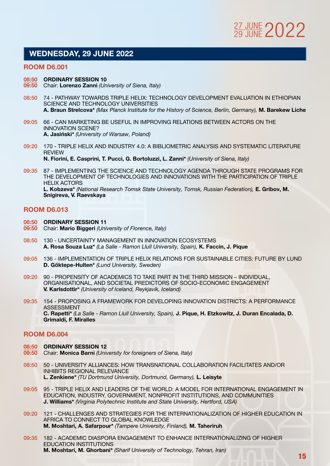

## WEDNESDAY, 29 JUNE 2022

#### ROOM D6.001

#### 08:50 ORDINARY SESSION 10

- 09:50 Chair: Lorenzo Zanni *(University of Siena, Italy)*
- 08:50 74 PATHWAY TOWARDS TRIPLE HELIX: TECHNOLOGY DEVELOPMENT EVALUATION IN ETHIOPIAN SCIENCE AND TECHNOLOGY UNIVERSITIES A. Braun Strelcova\* *(Max Planck Institute for the History of Science, Berlin, Germany),* M. Barekew Liche
- 09:05 66 CAN MARKETING BE USEFUL IN IMPROVING RELATIONS BETWEEN ACTORS ON THE INNOVATION SCENE? A. Jasiński\* *(University of Warsaw, Poland)*
- 09:20 170 TRIPLE HELIX AND INDUSTRY 4.0: A BIBLIOMETRIC ANALYSIS AND SYSTEMATIC LITERATURE REVIEW N. Fiorini, E. Casprini, T. Pucci, G. Bortoluzzi, L. Zanni\* *(University of Siena, Italy)*
- 09:35 87 IMPLEMENTING THE SCIENCE AND TECHNOLOGY AGENDA THROUGH STATE PROGRAMS FOR THE DEVELOPMENT OF TECHNOLOGIES AND INNOVATIONS WITH THE PARTICIPATION OF TRIPLE HELIX ACTORS L. Kobzeva<sup>\*</sup> *(National Research Tomsk State University, Tomsk, Russian Federation)*, E. Gribov, M. Snigireva, V. Raevskaya

#### ROOM D6.013

- 08:50 ORDINARY SESSION 11
- 09:50 Chair: Mario Biggeri *(University of Florence, Italy)*
- 08:50 130 UNCERTAINTY MANAGEMENT IN INNOVATION ECOSYSTEMS A. Rosa Souza Luz\* *(La Salle - Ramon Llull University, Spain),* K. Faccin, J. Pique
- 09:05 136 IMPLEMENTATION OF TRIPLE HELIX RELATIONS FOR SUSTAINABLE CITIES: FUTURE BY LUND D. Göktepe-Hulten\* *(Lund University, Sweden)*
- 09:20 90 PROPENSITY OF ACADEMICS TO TAKE PART IN THE THIRD MISSION INDIVIDUAL, ORGANISATIONAL, AND SOCIETAL PREDICTORS OF SOCIO-ECONOMIC ENGAGEMENT V. Karlsdottir\* *(University of Iceland, Reykjavik, Iceland)*
- 09:35 154 PROPOSING A FRAMEWORK FOR DEVELOPING INNOVATION DISTRICTS: A PERFORMANCE ASSESSMENT C. Rapetti\* *(La Salle - Ramon Llull University, Spain),* J. Pique, H. Etzkowitz, J. Duran Encalada, D. Grimaldi, F. Miralles

- 08:50 ORDINARY SESSION 12
- 09:50 Chair: Monica Barni *(University for foreigners of Siena, Italy)*
- 08:50 50 UNIVERSITY ALLIANCES: HOW TRANSNATIONAL COLLABORATION FACILITATES AND/OR INHIBITS REGIONAL RELEVANCE L. Zenkiene\* *(TU Dortmund University, Dortmund, Germany),* L. Leisyte
- 09:05 95 TRIPLE HELIX AND LEADERS OF THE WORLD: A MODEL FOR INTERNATIONAL ENGAGEMENT IN EDUCATION, INDUSTRY, GOVERNMENT, NONPROFIT INSTITUTIONS, AND COMMUNITIES J. Williams\* *(Virginia Polytechnic Institute and State University, Hertford, USA)*
- 09:20 121 CHALLENGES AND STRATEGIES FOR THE INTERNATIONALIZATION OF HIGHER EDUCATION IN AFRICA TO CONNECT TO GLOBAL KNOWLEDGE M. Moshtari, A. Safarpour\* *(Tampere University, Finland),* M. Taheriruh
- 09:35 182 ACADEMIC DIASPORA ENGAGEMENT TO ENHANCE INTERNATIONALIZING OF HIGHER EDUCATION INSTITUTIONS M. Moshtari, M. Ghorbani\* *(Sharif University of Technology, Tehran, Iran)*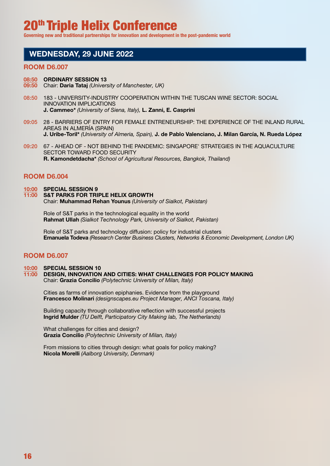**Governing new and traditional partnerships for innovation and development in the post-pandemic world**

## WEDNESDAY, 29 JUNE 2022

#### ROOM D6.007

#### 08:50 ORDINARY SESSION 13

- 09:50 Chair: Daria Tataj *(University of Manchester, UK)*
- 08:50 183 UNIVERSITY-INDUSTRY COOPERATION WITHIN THE TUSCAN WINE SECTOR: SOCIAL INNOVATION IMPLICATIONS J. Cammeo\* *(University of Siena, Italy),* L. Zanni, E. Casprini
- 09:05 28 BARRIERS OF ENTRY FOR FEMALE ENTRENEURSHIP: THE EXPERIENCE OF THE INLAND RURAL AREAS IN ALMERÍA (SPAIN) J. Uribe-Toril\* *(University of Almeria, Spain),* J. de Pablo Valenciano, J. Milan García, N. Rueda López
- 09:20 67 AHEAD OF NOT BEHIND THE PANDEMIC: SINGAPORE' STRATEGIES IN THE AQUACULTURE SECTOR TOWARD FOOD SECURITY R. Kamondetdacha\* *(School of Agricultural Resources, Bangkok, Thailand)*

#### ROOM D6.004

#### 10:00 SPECIAL SESSION 9 11:00 S&T PARKS FOR TRIPLE HELIX GROWTH Chair: Muhammad Rehan Younus *(University of Sialkot, Pakistan)*

Role of S&T parks in the technological equality in the world Rahmat Ullah *(Sialkot Technology Park, University of Sialkot, Pakistan)*

Role of S&T parks and technology diffusion: policy for industrial clusters Emanuela Todeva *(Research Center Business Clusters, Networks & Economic Development, London UK)*

#### ROOM D6.007

10:00 SPECIAL SESSION 10

11:00 DESIGN, INNOVATION AND CITIES: WHAT CHALLENGES FOR POLICY MAKING Chair: Grazia Concilio *(Polytechnic University of Milan, Italy)*

Cities as farms of innovation epiphanies. Evidence from the playground Francesco Molinari *(designscapes.eu Project Manager, ANCI Toscana, Italy)*

Building capacity through collaborative reflection with successful projects Ingrid Mulder *(TU Delft, Participatory City Making lab, The Netherlands)*

What challenges for cities and design? Grazia Concilio *(Polytechnic University of Milan, Italy)*

From missions to cities through design: what goals for policy making? Nicola Morelli *(Aalborg University, Denmark)*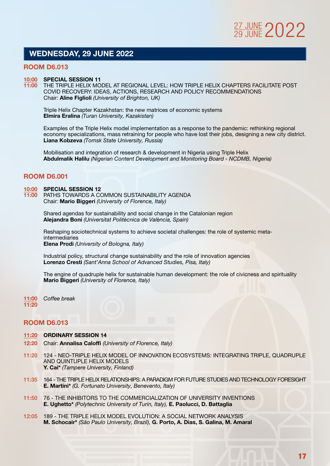## WEDNESDAY, 29 JUNE 2022

#### ROOM D6.013

#### 10:00 SPECIAL SESSION 11

11:00 THE TRIPLE HELIX MODEL AT REGIONAL LEVEL: HOW TRIPLE HELIX CHAPTERS FACILITATE POST COVID RECOVERY: IDEAS, ACTIONS, RESEARCH AND POLICY RECOMMENDATIONS Chair: Aline Figlioli *(University of Brighton, UK)*

Triple Helix Chapter Kazakhstan: the new matrices of economic systems Elmira Eralina *(Turan University, Kazakistan)*

 Examples of the Triple Helix model implementation as a response to the pandemic: rethinking regional economy specializations, mass retraining for people who have lost their jobs, designing a new city district. Liana Kobzeva *(Tomsk State University, Russia)*

Mobilisation and integration of research & development in Nigeria using Triple Helix Abdulmalik Halilu *(Nigerian Content Development and Monitoring Board - NCDMB, Nigeria)*

#### ROOM D6.001

#### 10:00 SPECIAL SESSION 12

11:00 PATHS TOWARDS A COMMON SUSTAINABILITY AGENDA Chair: Mario Biggeri *(University of Florence, Italy)*

> Shared agendas for sustainability and social change in the Catalonian region Alejandra Boni *(Universitat Politècnica de València, Spain)*

 Reshaping sociotechnical systems to achieve societal challenges: the role of systemic metaintermediaries Elena Prodi *(University of Bologna, Italy)*

Industrial policy, structural change sustainability and the role of innovation agencies Lorenzo Cresti *(Sant'Anna School of Advanced Studies, Pisa, Italy)*

 The engine of quadruple helix for sustainable human development: the role of civicness and spirituality Mario Biggeri *(University of Florence, Italy)*

11:00 *Coffee break*  11:20

- 11:20 ORDINARY SESSION 14
- 12:20 Chair: Annalisa Caloffi *(University of Florence, Italy)*
- 11:20 124 NEO-TRIPLE HELIX MODEL OF INNOVATION ECOSYSTEMS: INTEGRATING TRIPLE, QUADRUPLE AND QUINTUPLE HELIX MODELS Y. Cai\* *(Tampere University, Finland)*
- 11:35 164 THE TRIPLE HELIX RELATIONSHIPS: A PARADIGM FOR FUTURE STUDIES AND TECHNOLOGY FORESIGHT E. Martini\* *(G. Fortunato University, Benevento, Italy)*
- 11:50 76 THE INHIBITORS TO THE COMMERCIALIZATION OF UNIVERSITY INVENTIONS E. Ughetto\* *(Polytechnic University of Turin, Italy),* E. Paolucci, D. Battaglia
- 12:05 189 THE TRIPLE HELIX MODEL EVOLUTION: A SOCIAL NETWORK ANALYSIS M. Schocair\* *(São Paulo University, Brazil),* G. Porto, A. Dias, S. Galina, M. Amaral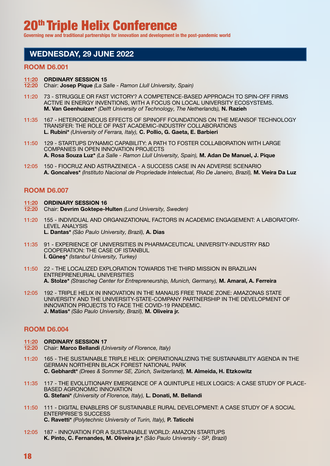**Governing new and traditional partnerships for innovation and development in the post-pandemic world**

## WEDNESDAY, 29 JUNE 2022

#### ROOM D6.001

#### 11:20 ORDINARY SESSION 15

- 12:20 Chair: Josep Pique *(La Salle Ramon Llull University, Spain)*
- 11:20 73 STRUGGLE OR FAST VICTORY? A COMPETENCE-BASED APPROACH TO SPIN-OFF FIRMS ACTIVE IN ENERGY INVENTIONS, WITH A FOCUS ON LOCAL UNIVERSITY ECOSYSTEMS. M. Van Geenhuizen\* *(Delft University of Technology, The Netherlands),* N. Razieh
- 11:35 167 HETEROGENEOUS EFFECTS OF SPINOFF FOUNDATIONS ON THE MEANSOF TECHNOLOGY TRANSFER: THE ROLE OF PAST ACADEMIC-INDUSTRY COLLABORATIONS L. Rubini\* *(University of Ferrara, Italy),* C. Pollio, G. Gaeta, E. Barbieri
- 11:50 129 STARTUPS DYNAMIC CAPABILITY: A PATH TO FOSTER COLLABORATION WITH LARGE COMPANIES IN OPEN INNOVATION PROJECTS A. Rosa Souza Luz\* *(La Salle - Ramon Llull University, Spain),* M. Adan De Manuel, J. Pique
- 12:05 150 FIOCRUZ AND ASTRAZENECA A SUCCESS CASE IN AN ADVERSE SCENARIO A. Goncalves\* *(Instituto Nacional de Propriedade Intelectual, Rio De Janeiro, Brazil),* M. Vieira Da Luz

#### ROOM D6.007

- 11:20 ORDINARY SESSION 16
- 12:20 Chair: Devrim Goktepe-Hulten *(Lund University, Sweden)*
- 11:20 155 INDIVIDUAL AND ORGANIZATIONAL FACTORS IN ACADEMIC ENGAGEMENT: A LABORATORY-LEVEL ANALYSIS L. Dantas\* *(São Paulo University, Brazil),* A. Dias
- 11:35 91 EXPERIENCE OF UNIVERSITIES IN PHARMACEUTICAL UNIVERSITY-INDUSTRY R&D COOPERATION: THE CASE OF ISTANBUL İ. Güneş\* *(Istanbul University, Turkey)*
- 11:50 22 THE LOCALIZED EXPLORATION TOWARDS THE THIRD MISSION IN BRAZILIAN ENTREPRENEURIAL UNIVERSITIES A. Stolze\* *(Strascheg Center for Entrepreneurship, Munich, Germany),* M. Amaral, A. Ferreira
- 12:05 192 TRIPLE HELIX IN INNOVATION IN THE MANAUS FREE TRADE ZONE: AMAZONAS STATE UNIVERSITY AND THE UNIVERSITY-STATE-COMPANY PARTNERSHIP IN THE DEVELOPMENT OF INNOVATION PROJECTS TO FACE THE COVID-19 PANDEMIC. J. Matias\* *(São Paulo University, Brazil),* M. Oliveira jr.

- 11:20 ORDINARY SESSION 17
- 12:20 Chair: Marco Bellandi *(University of Florence, Italy)*
- 11:20 165 THE SUSTAINABLE TRIPLE HELIX: OPERATIONALIZING THE SUSTAINABILITY AGENDA IN THE GERMAN NORTHERN BLACK FOREST NATIONAL PARK C. Gebhardt\* *(Drees & Sommer SE, Zürich, Switzerland),* M. Almeida, H. Etzkowitz
- 11:35 117 THE EVOLUTIONARY EMERGENCE OF A QUINTUPLE HELIX LOGICS: A CASE STUDY OF PLACE-BASED AGRONOMIC INNOVATION G. Stefani\* *(University of Florence, Italy),* L. Donati, M. Bellandi
- 11:50 111 DIGITAL ENABLERS OF SUSTAINABLE RURAL DEVELOPMENT: A CASE STUDY OF A SOCIAL ENTERPRISE'S SUCCESS C. Ravetti\* *(Polytechnic University of Turin, Italy),* P. Taticchi
- 12:05 187 INNOVATION FOR A SUSTAINABLE WORLD: AMAZON STARTUPS K. Pinto, C. Fernandes, M. Oliveira jr.\* *(São Paulo University - SP, Brazil)*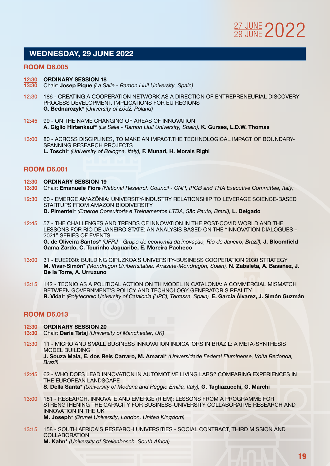

## WEDNESDAY, 29 JUNE 2022

#### ROOM D6.005

#### 12:30 ORDINARY SESSION 18

- 13:30 Chair: Josep Pique *(La Salle Ramon Llull University, Spain)*
- 12:30 186 CREATING A COOPERATION NETWORK AS A DIRECTION OF ENTREPRENEURIAL DISCOVERY PROCESS DEVELOPMENT. IMPLICATIONS FOR EU REGIONS G. Bednarczyk\* *(University of Łódź, Poland)*
- 12:45 99 ON THE NAME CHANGING OF AREAS OF INNOVATION A. Giglio Hirtenkauf\* *(La Salle - Ramon Llull University, Spain),* K. Gurses, L.D.W. Thomas
- 13:00 80 ACROSS DISCIPLINES, TO MAKE AN IMPACT.THE TECHNOLOGICAL IMPACT OF BOUNDARY-SPANNING RESEARCH PROJECTS L. Toschi\* *(University of Bologna, Italy),* F. Munari, H. Morais Righi

#### ROOM D6.001

- 12:30 ORDINARY SESSION 19
- 13:30 Chair: Emanuele Fiore *(National Research Council CNR, IPCB and THA Executive Committee, Italy)*
- 12:30 60 EMERGE AMAZÔNIA: UNIVERSITY-INDUSTRY RELATIONSHIP TO LEVERAGE SCIENCE-BASED STARTUPS FROM AMAZON BIODIVERSITY D. Pimentel<sup>\*</sup> *(Emerge Consultoria e Treinamentos LTDA, São Paulo, Brazil)*, L. Delgado
- 12:45 57 THE CHALLENGES AND TRENDS OF INNOVATION IN THE POST-COVID WORLD AND THE LESSONS FOR RIO DE JANEIRO STATE: AN ANALYSIS BASED ON THE "INNOVATION DIALOGUES – 2021" SERIES OF EVENTS G. de Oliveira Santos\* *(UFRJ - Grupo de economia da inovação, Rio de Janeiro, Brazil),* J. Bloomfield Gama Zardo, C. Tourinho Jaguaribe, E. Moreira Pacheco
- 13:00 31 EUE2030: BUILDING GIPUZKOA'S UNIVERSITY-BUSINESS COOPERATION 2030 STRATEGY M. Vivar-Simón\* *(Mondragon Unibertsitatea, Arrasate-Mondragón, Spain),* N. Zabaleta, A. Basañez, J. De la Torre, A. Urruzuno
- 13:15 142 TECNIO AS A POLITICAL ACTION ON TH MODEL IN CATALONIA: A COMMERCIAL MISMATCH BETWEEN GOVERNMENT'S POLICY AND TECHNOLOGY GENERATOR'S REALITY R. Vidal\* *(Polytechnic University of Catalonia (UPC), Terrassa, Spain),* E. García Álvarez, J. Simón Guzmán

#### ROOM D6.013

- 12:30 ORDINARY SESSION 20
- 13:30 Chair: Daria Tataj *(University of Manchester, UK)*
- 12:30 11 MICRO AND SMALL BUSINESS INNOVATION INDICATORS IN BRAZIL: A META-SYNTHESIS MODEL BUILDING J. Souza Maia, E. dos Reis Carraro, M. Amaral\* *(Universidade Federal Fluminense, Volta Redonda, Brazil)*
- 12:45 62 WHO DOES LEAD INNOVATION IN AUTOMOTIVE LIVING LABS? COMPARING EXPERIENCES IN THE EUROPEAN LANDSCAPE

S. Della Santa\* *(University of Modena and Reggio Emilia, Italy),* G. Tagliazucchi, G. Marchi

- 13:00 181 RESEARCH, INNOVATE AND EMERGE (RIEM): LESSONS FROM A PROGRAMME FOR STRENGTHENING THE CAPACITY FOR BUSINESS-UNIVERSITY COLLABORATIVE RESEARCH AND INNOVATION IN THE UK M. Joseph\* *(Brunel University, London, United Kingdom)*
- 13:15 158 SOUTH AFRICA'S RESEARCH UNIVERSITIES SOCIAL CONTRACT, THIRD MISSION AND **COLLABORATION** M. Kahn\* *(University of Stellenbosch, South Africa)*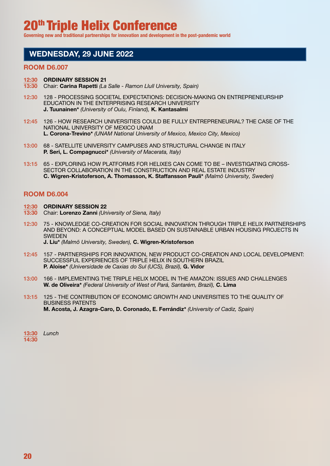**Governing new and traditional partnerships for innovation and development in the post-pandemic world**

## WEDNESDAY, 29 JUNE 2022

#### ROOM D6.007

#### 12:30 ORDINARY SESSION 21

- 13:30 Chair: Carina Rapetti *(La Salle Ramon Llull University, Spain)*
- 12:30 128 PROCESSING SOCIETAL EXPECTATIONS: DECISION-MAKING ON ENTREPRENEURSHIP EDUCATION IN THE ENTERPRISING RESEARCH UNIVERSITY J. Tuunainen\* *(University of Oulu, Finland),* K. Kantasalmi
- 12:45 126 HOW RESEARCH UNIVERSITIES COULD BE FULLY ENTREPRENEURIAL? THE CASE OF THE NATIONAL UNIVERSITY OF MEXICO UNAM L. Corona-Trevino\* *(UNAM National University of Mexico, Mexico City, Mexico)*
- 13:00 68 SATELLITE UNIVERSITY CAMPUSES AND STRUCTURAL CHANGE IN ITALY P. Seri, L. Compagnucci\* *(University of Macerata, Italy)*
- 13:15 65 EXPLORING HOW PLATFORMS FOR HELIXES CAN COME TO BE INVESTIGATING CROSS-SECTOR COLLABORATION IN THE CONSTRUCTION AND REAL ESTATE INDUSTRY C. Wigren-Kristoferson, A. Thomasson, K. Staffansson Pauli\* *(Malmö University, Sweden)*

- 12:30 ORDINARY SESSION 22
- 13:30 Chair: Lorenzo Zanni *(University of Siena, Italy)*
- 12:30 75 KNOWLEDGE CO-CREATION FOR SOCIAL INNOVATION THROUGH TRIPLE HELIX PARTNERSHIPS AND BEYOND: A CONCEPTUAL MODEL BASED ON SUSTAINABLE URBAN HOUSING PROJECTS IN **SWEDEN** J. Liu\* *(Malmö University, Sweden),* C. Wigren-Kristoferson
- 12:45 157 PARTNERSHIPS FOR INNOVATION, NEW PRODUCT CO-CREATION AND LOCAL DEVELOPMENT: SUCCESSFUL EXPERIENCES OF TRIPLE HELIX IN SOUTHERN BRAZIL P. Aloise\* *(Universidade de Caxias do Sul (UCS), Brazil),* G. Vidor
- 13:00 166 IMPLEMENTING THE TRIPLE HELIX MODEL IN THE AMAZON: ISSUES AND CHALLENGES W. de Oliveira\* *(Federal University of West of Pará, Santarém, Brazil),* C. Lima
- 13:15 125 THE CONTRIBUTION OF ECONOMIC GROWTH AND UNIVERSITIES TO THE QUALITY OF BUSINESS PATENTS M. Acosta, J. Azagra-Caro, D. Coronado, E. Ferrándiz\* *(University of Cadiz, Spain)*

| 13:30 | Lunch |
|-------|-------|
| 14:30 |       |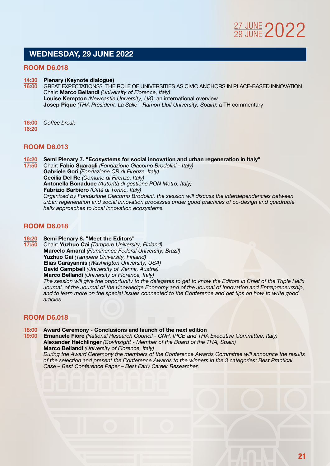## WEDNESDAY, 29 JUNE 2022

#### ROOM D6.018

14:30 Plenary (Keynote dialogue)

16:00 GREAT EXPECTATIONS? THE ROLE OF UNIVERSITIES AS CIVIC ANCHORS IN PLACE-BASED INNOVATION Chair: Marco Bellandi *(University of Florence, Italy)* Louise Kempton *(Newcastle University, UK)*: an international overview Josep Pique *(THA President, La Salle - Ramon Llull University, Spain)*: a TH commentary

16:00 *Coffee break*  16:20

#### ROOM D6.013

16:20 Semi Plenary 7. "Ecosystems for social innovation and urban regeneration in Italy"

17:50 Chair: Fabio Sgaragli *(Fondazione Giacomo Brodolini - Italy)* Gabriele Gori *(Fondazione CR di Firenze, Italy)* Cecilia Del Re *(Comune di Firenze, Italy)* Antonella Bonaduce *(Autorità di gestione PON Metro, Italy)* Fabrizio Barbiero *(Città di Torino, Italy) Organized by Fondazione Giacomo Brodolini, the session will discuss the interdependencies between urban regeneration and social innovation processes under good practices of co-design and quadruple helix approaches to local innovation ecosystems.*

#### ROOM D6.018

**16:20** Semi Plenary 8. "Meet the Editors"<br>17:50 Chair: Yuzhuo Cai *(Tampere Univers*)

17:50 Chair: Yuzhuo Cai *(Tampere University, Finland)*  Marcelo Amaral *(Fluminence Federal University, Brazil)* Yuzhuo Cai *(Tampere University, Finland)* Elias Carayannis *(Washington University, USA)* David Campbell *(University of Vienna, Austria)* Marco Bellandi *(University of Florence, Italy) The session will give the opportunity to the delegates to get to know the Editors in Chief of the Triple Helix Journal, of the Journal of the Knowledge Economy and of the Journal of Innovation and Entrepreneurship, and to learn more on the special issues connected to the Conference and get tips on how to write good* 

#### ROOM D6.018

*articles.*

# 18:00 Award Ceremony - Conclusions and launch of the next edition<br>19:00 Emanuele Fiore (National Research Council - CNR. IPCB and THA

19:00 Emanuele Fiore *(National Research Council - CNR, IPCB and THA Executive Committee, Italy)*  Alexander Heichlinger *(GovInsight - Member of the Board of the THA, Spain)* Marco Bellandi *(University of Florence, Italy)*

 *During the Award Ceremony the members of the Conference Awards Committee will announce the results of the selection and present the Conference Awards to the winners in the 3 categories: Best Practical Case – Best Conference Paper – Best Early Career Researcher.*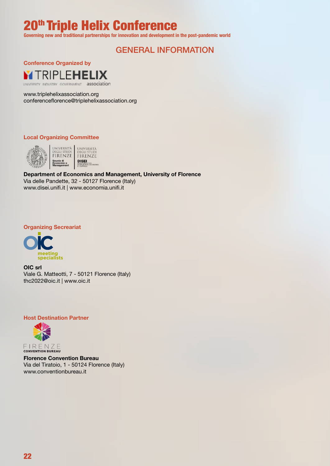**Governing new and traditional partnerships for innovation and development in the post-pandemic world**

# GENERAL INFORMATION

Conference Organized by



www.triplehelixassociation.org conferenceflorence@triplehelixassociation.org

#### Local Organizing Committee



Department of Economics and Management, University of Florence Via delle Pandette, 32 - 50127 Florence (Italy) www.disei.unifi.it | www.economia.unifi.it

#### Organizing Secreariat



OIC srl Viale G. Matteotti, 7 - 50121 Florence (Italy) thc2022@oic.it | www.oic.it

#### Host Destination Partner



 $\begin{array}{c} \mathsf{F} \mathbin{\mid} \mathsf{R} \mathrel{\sqsubseteq} \mathsf{N} \mathrel{\mathsf{Z}} \mathrel{\sqsubseteq} \\ \mathsf{conv}\end{array}$ 

Florence Convention Bureau Via del Tiratoio, 1 - 50124 Florence (Italy) www.conventionbureau.it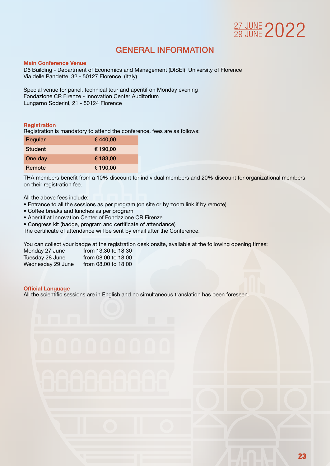# 27 JUNE 2022

# GENERAL INFORMATION

#### Main Conference Venue

D6 Building - Department of Economics and Management (DISEI), University of Florence Via delle Pandette, 32 - 50127 Florence (Italy)

Special venue for panel, technical tour and aperitif on Monday evening Fondazione CR Firenze - Innovation Center Auditorium Lungarno Soderini, 21 - 50124 Florence

#### **Registration**

Registration is mandatory to attend the conference, fees are as follows:

| Regular        | €440,00  |
|----------------|----------|
| <b>Student</b> | € 190.00 |
| One day        | € 183,00 |
| Remote         | € 190,00 |

THA members benefit from a 10% discount for individual members and 20% discount for organizational members on their registration fee.

All the above fees include:

- Entrance to all the sessions as per program (on site or by zoom link if by remote)
- Coffee breaks and lunches as per program
- Aperitif at Innovation Center of Fondazione CR Firenze
- Congress kit (badge, program and certificate of attendance)

The certificate of attendance will be sent by email after the Conference.

You can collect your badge at the registration desk onsite, available at the following opening times:

| Monday 27 June    | from 13.30 to 18.30 |
|-------------------|---------------------|
| Tuesday 28 June   | from 08.00 to 18.00 |
| Wednesday 29 June | from 08.00 to 18.00 |

#### Official Language

All the scientific sessions are in English and no simultaneous translation has been foreseen.